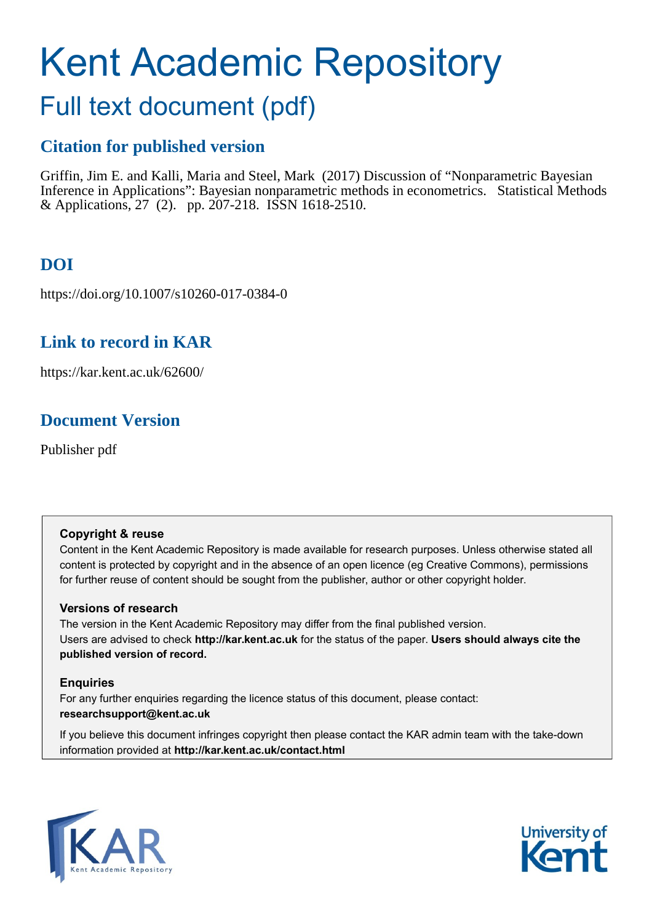# Kent Academic Repository

# Full text document (pdf)

## **Citation for published version**

Griffin, Jim E. and Kalli, Maria and Steel, Mark (2017) Discussion of "Nonparametric Bayesian Inference in Applications": Bayesian nonparametric methods in econometrics. Statistical Methods & Applications, 27 (2). pp. 207-218. ISSN 1618-2510.

## **DOI**

https://doi.org/10.1007/s10260-017-0384-0

## **Link to record in KAR**

https://kar.kent.ac.uk/62600/

## **Document Version**

Publisher pdf

#### **Copyright & reuse**

Content in the Kent Academic Repository is made available for research purposes. Unless otherwise stated all content is protected by copyright and in the absence of an open licence (eg Creative Commons), permissions for further reuse of content should be sought from the publisher, author or other copyright holder.

#### **Versions of research**

The version in the Kent Academic Repository may differ from the final published version. Users are advised to check **http://kar.kent.ac.uk** for the status of the paper. **Users should always cite the published version of record.**

#### **Enquiries**

For any further enquiries regarding the licence status of this document, please contact: **researchsupport@kent.ac.uk**

If you believe this document infringes copyright then please contact the KAR admin team with the take-down information provided at **http://kar.kent.ac.uk/contact.html**



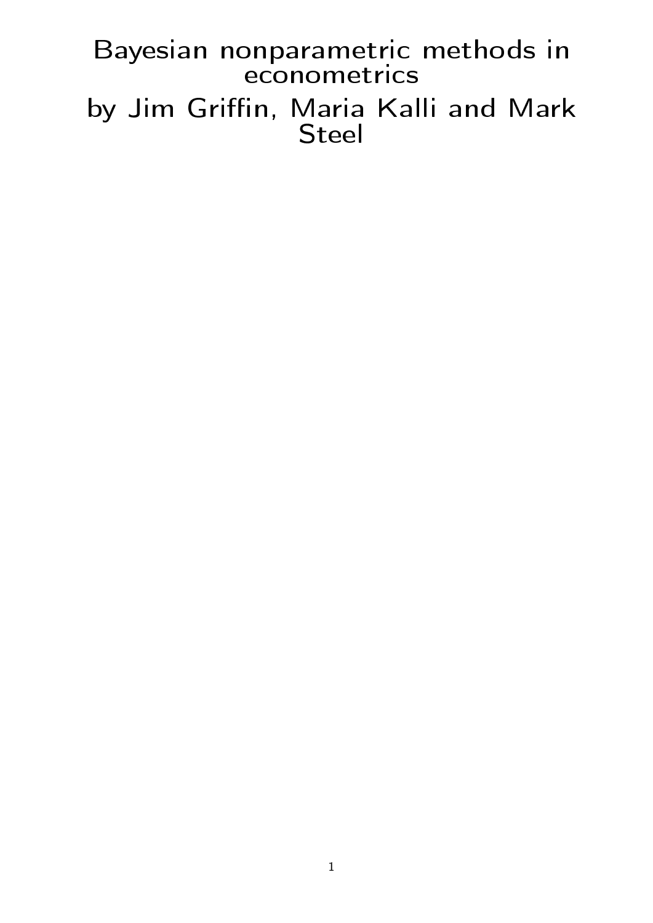Bayesian nonparametric methods in econometrics by Jim Griffin, Maria Kalli and Mark Steel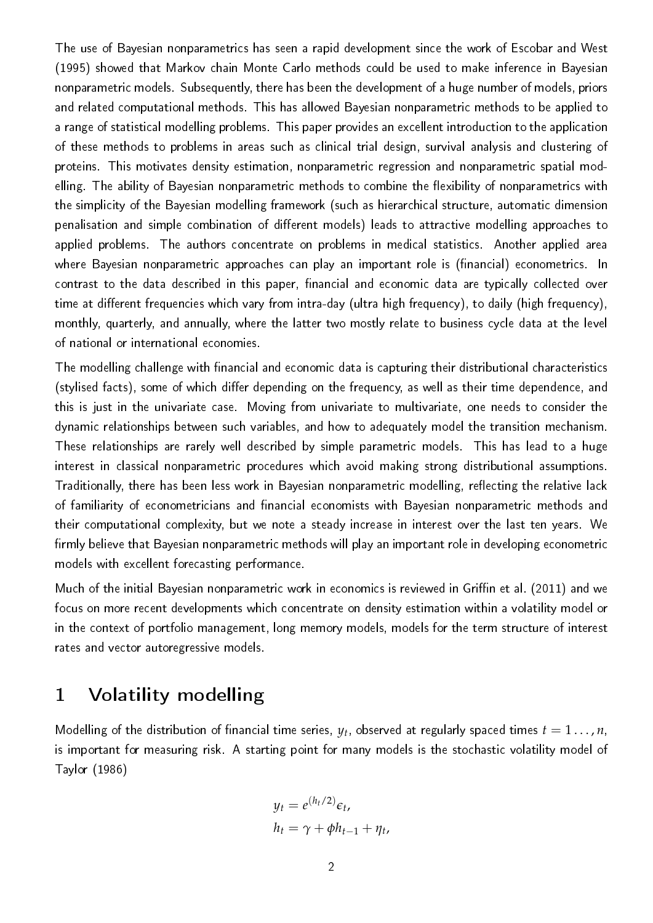The use of Bayesian nonparametrics has seen a rapid development since the work of Escobar and West (1995) showed that Markov chain Monte Carlo methods could be used to make inference in Bayesian nonparametric models. Subsequently, there has been the development of a huge number of models, priors and related computational methods. This has allowed Bayesian nonparametric methods to be applied to a range of statistical modelling problems. This paper provides an excellent introduction to the application of these methods to problems in areas such as clinical trial design, survival analysis and clustering of proteins. This motivates density estimation, nonparametric regression and nonparametric spatial modelling. The ability of Bayesian nonparametric methods to combine the flexibility of nonparametrics with the simplicity of the Bayesian modelling framework (such as hierarchical structure, automatic dimension penalisation and simple combination of different models) leads to attractive modelling approaches to applied problems. The authors concentrate on problems in medical statistics. Another applied area where Bayesian nonparametric approaches can play an important role is (financial) econometrics. In contrast to the data described in this paper, financial and economic data are typically collected over time at different frequencies which vary from intra-day (ultra high frequency), to daily (high frequency), monthly, quarterly, and annually, where the latter two mostly relate to business cycle data at the level of national or international economies.

The modelling challenge with financial and economic data is capturing their distributional characteristics (stylised facts), some of which differ depending on the frequency, as well as their time dependence, and this is just in the univariate case. Moving from univariate to multivariate, one needs to consider the dynamic relationships between such variables, and how to adequately model the transition mechanism. These relationships are rarely well described by simple parametric models. This has lead to a huge interest in classical nonparametric procedures which avoid making strong distributional assumptions. Traditionally, there has been less work in Bayesian nonparametric modelling, reflecting the relative lack of familiarity of econometricians and financial economists with Bayesian nonparametric methods and their computational complexity, but we note a steady increase in interest over the last ten years. We firmly believe that Bayesian nonparametric methods will play an important role in developing econometric models with excellent forecasting performance.

Much of the initial Bayesian nonparametric work in economics is reviewed in Griffin et al. (2011) and we focus on more recent developments which concentrate on density estimation within a volatility model or in the context of portfolio management, long memory models, models for the term structure of interest rates and vector autoregressive models.

## 1 Volatility modelling

Modelling of the distribution of financial time series,  $y_t$ , observed at regularly spaced times  $t=1\ldots$  ,  $n$ , is important for measuring risk. A starting point for many models is the stochastic volatility model of Taylor (1986)

$$
y_t = e^{(h_t/2)} \epsilon_t,
$$
  

$$
h_t = \gamma + \phi h_{t-1} + \eta_t,
$$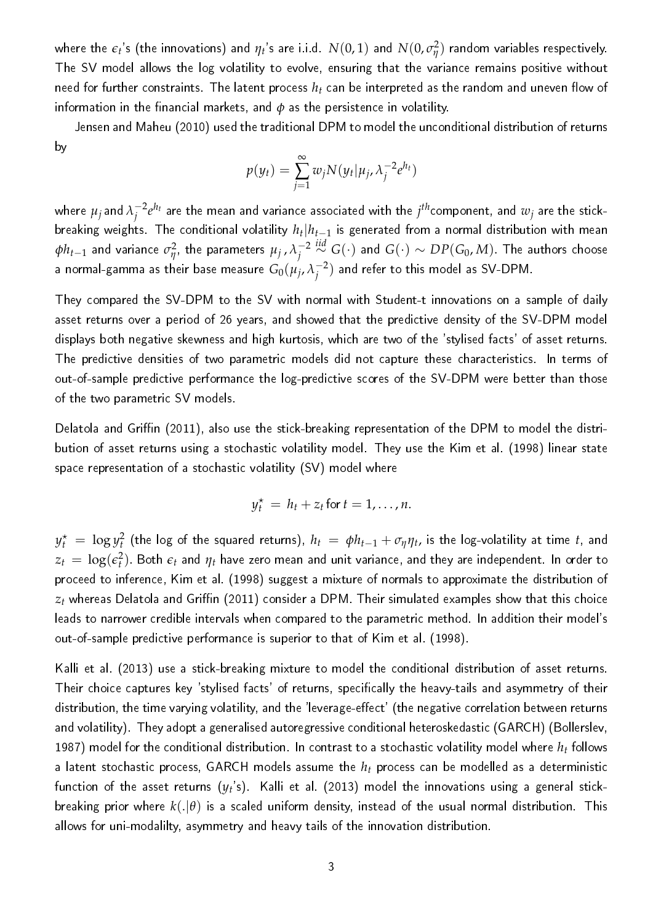where the  $\epsilon_t$ 's (the innovations) and  $\eta_t$ 's are i.i.d.  $N(0,1)$  and  $N(0,\sigma_\eta^2)$  $\frac{2}{\eta}$ ) random variables respectively. The SV model allows the log volatility to evolve, ensuring that the variance remains positive without need for further constraints. The latent process  $h_t$  can be interpreted as the random and uneven flow of information in the financial markets, and  $\phi$  as the persistence in volatility.

Jensen and Maheu (2010) used the traditional DPM to model the unconditional distribution of returns by

$$
p(y_t) = \sum_{j=1}^{\infty} w_j N(y_t | \mu_j, \lambda_j^{-2} e^{h_t})
$$

where  $\mu_j$  and  $\lambda_j^{-2}$  $j^{2}e^{h_{t}}$  are the mean and variance associated with the  $j^{th}$ component, and  $w_{j}$  are the stick $b$ reaking weights. The conditional volatility  $h_t \vert h_{t-1}$  is generated from a normal distribution with mean *φht*−<sup>1</sup> and variance *σ* 2  $\mu_{\eta}^2$ , the parameters  $\mu_j$  ,  $\lambda_j^{-2}$ *j iid*<sup>∼</sup> *<sup>G</sup>*(·) and *<sup>G</sup>*(·) <sup>∼</sup> *DP*(*G*0, *<sup>M</sup>*). The authors choose a normal-gamma as their base measure  $G_0(\mu_j,\lambda_j^{-2})$  $j^{-2})$  and refer to this model as SV-DPM.

They compared the SV-DPM to the SV with normal with Student-t innovations on a sample of daily asset returns over a period of 26 years, and showed that the predictive density of the SV-DPM model displays both negative skewness and high kurtosis, which are two of the 'stylised facts' of asset returns. The predictive densities of two parametric models did not capture these characteristics. In terms of out-of-sample predictive performance the log-predictive scores of the SV-DPM were better than those of the two parametric SV models.

Delatola and Griffin (2011), also use the stick-breaking representation of the DPM to model the distribution of asset returns using a stochastic volatility model. They use the Kim et al. (1998) linear state space representation of a stochastic volatility (SV) model where

$$
y_t^* = h_t + z_t \text{ for } t = 1, \ldots, n.
$$

 $y_t^\star\ =\ \log y_t^2$  (the log of the squared returns),  $h_t\ =\ \phi h_{t-1}+\sigma_\eta \eta_t$ , is the log-volatility at time  $t$ , and  $z_t\,=\,\log(\epsilon_t^2).$  Both  $\epsilon_t$  and  $\eta_t$  have zero mean and unit variance, and they are independent. In order to proceed to inference, Kim et al. (1998) suggest a mixture of normals to approximate the distribution of  $z_t$  whereas Delatola and Griffin (2011) consider a DPM. Their simulated examples show that this choice leads to narrower credible intervals when compared to the parametric method. In addition their model's out-of-sample predictive performance is superior to that of Kim et al. (1998).

Kalli et al. (2013) use a stick-breaking mixture to model the conditional distribution of asset returns. Their choice captures key 'stylised facts' of returns, specifically the heavy-tails and asymmetry of their distribution, the time varying volatility, and the 'leverage-effect' (the negative correlation between returns and volatility). They adopt a generalised autoregressive conditional heteroskedastic (GARCH) (Bollerslev, 1987) model for the conditional distribution. In contrast to a stochastic volatility model where *h<sup>t</sup>* follows a latent stochastic process, GARCH models assume the *h<sup>t</sup>* process can be modelled as a deterministic function of the asset returns  $(y_t\text{'s})$ . Kalli et al. (2013) model the innovations using a general stickbreaking prior where  $k(.|\theta)$  is a scaled uniform density, instead of the usual normal distribution. This allows for uni-modalilty, asymmetry and heavy tails of the innovation distribution.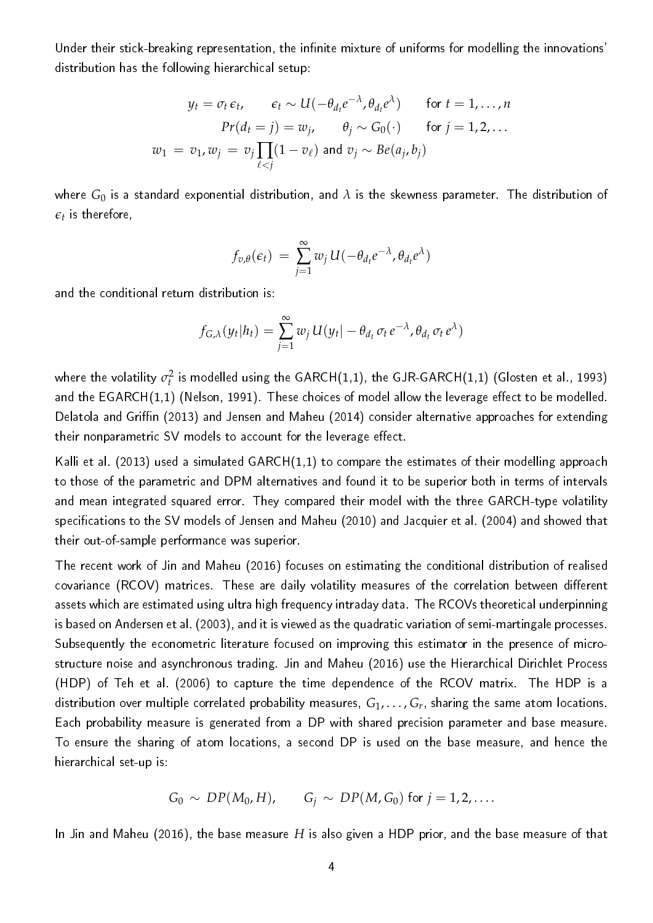Under their stick-breaking representation, the infinite mixture of uniforms for modelling the innovations' distribution has the following hierarchical setup:

$$
y_t = \sigma_t \epsilon_t, \qquad \epsilon_t \sim U(-\theta_{d_t} e^{-\lambda}, \theta_{d_t} e^{\lambda}) \qquad \text{for } t = 1, ..., n
$$

$$
Pr(d_t = j) = w_j, \qquad \theta_j \sim G_0(\cdot) \qquad \text{for } j = 1, 2, ...
$$

$$
w_1 = v_1, w_j = v_j \prod_{\ell < j} (1 - v_\ell) \text{ and } v_j \sim Be(a_j, b_j)
$$

where *G*<sup>0</sup> is a standard exponential distribution, and *λ* is the skewness parameter. The distribution of  $\epsilon_t$  is therefore,

$$
f_{v,\theta}(\epsilon_t) = \sum_{j=1}^{\infty} w_j U(-\theta_{d_t} e^{-\lambda}, \theta_{d_t} e^{\lambda})
$$

and the conditional return distribution is:

$$
f_{G,\lambda}(y_t|h_t) = \sum_{j=1}^{\infty} w_j U(y_t| - \theta_{d_t} \sigma_t e^{-\lambda}, \theta_{d_t} \sigma_t e^{\lambda})
$$

where the volatility  $\sigma^2_t$  is modelled using the GARCH(1,1), the GJR-GARCH(1,1) (Glosten et al., 1993) and the  $EGARCH(1,1)$  (Nelson, 1991). These choices of model allow the leverage effect to be modelled. Delatola and Griffin (2013) and Jensen and Maheu (2014) consider alternative approaches for extending their nonparametric SV models to account for the leverage effect.

Kalli et al. (2013) used a simulated GARCH(1,1) to compare the estimates of their modelling approach to those of the parametric and DPM alternatives and found it to be superior both in terms of intervals and mean integrated squared error. They compared their model with the three GARCH-type volatility specifications to the SV models of Jensen and Maheu (2010) and Jacquier et al. (2004) and showed that their out-of-sample performance was superior.

The recent work of Jin and Maheu (2016) focuses on estimating the conditional distribution of realised covariance (RCOV) matrices. These are daily volatility measures of the correlation between different assets which are estimated using ultra high frequency intraday data. The RCOVs theoretical underpinning is based on Andersen et al. (2003), and it is viewed as the quadratic variation of semi-martingale processes. Subsequently the econometric literature focused on improving this estimator in the presence of microstructure noise and asynchronous trading. Jin and Maheu (2016) use the Hierarchical Dirichlet Process (HDP) of Teh et al. (2006) to capture the time dependence of the RCOV matrix. The HDP is a distribution over multiple correlated probability measures,  $G_1,\ldots,G_r$ , sharing the same atom locations. Each probability measure is generated from a DP with shared precision parameter and base measure. To ensure the sharing of atom locations, a second DP is used on the base measure, and hence the hierarchical set-up is:

$$
G_0 \sim DP(M_0, H), \qquad G_j \sim DP(M, G_0) \text{ for } j = 1, 2, \ldots.
$$

In Jin and Maheu (2016), the base measure *H* is also given a HDP prior, and the base measure of that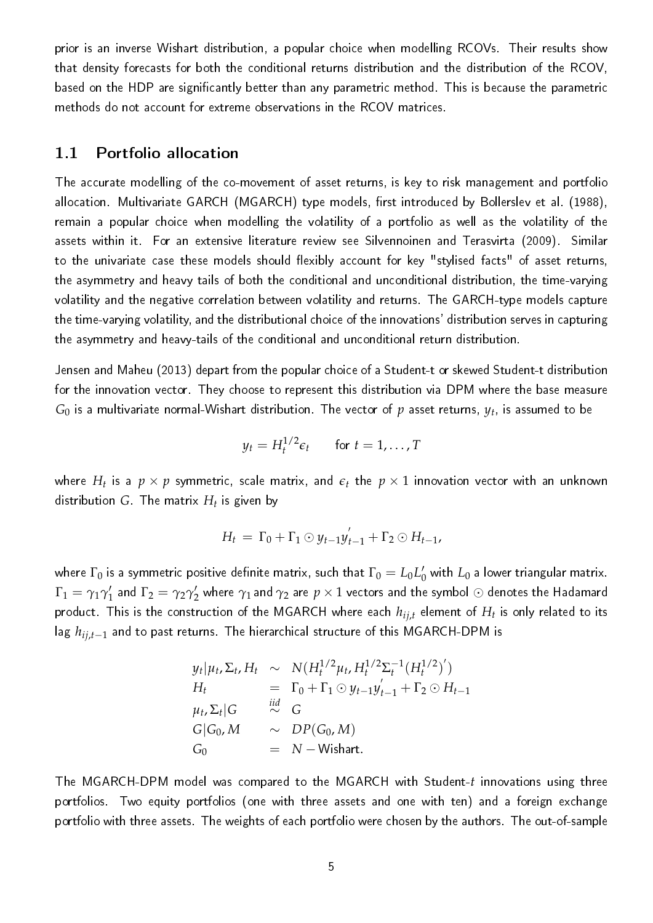prior is an inverse Wishart distribution, a popular choice when modelling RCOVs. Their results show that density forecasts for both the conditional returns distribution and the distribution of the RCOV, based on the HDP are signicantly better than any parametric method. This is because the parametric methods do not account for extreme observations in the RCOV matrices.

#### 1.1 Portfolio allocation

The accurate modelling of the co-movement of asset returns, is key to risk management and portfolio allocation. Multivariate GARCH (MGARCH) type models, first introduced by Bollerslev et al. (1988), remain a popular choice when modelling the volatility of a portfolio as well as the volatility of the assets within it. For an extensive literature review see Silvennoinen and Terasvirta (2009). Similar to the univariate case these models should flexibly account for key "stylised facts" of asset returns, the asymmetry and heavy tails of both the conditional and unconditional distribution, the time-varying volatility and the negative correlation between volatility and returns. The GARCH-type models capture the time-varying volatility, and the distributional choice of the innovations' distribution serves in capturing the asymmetry and heavy-tails of the conditional and unconditional return distribution.

Jensen and Maheu (2013) depart from the popular choice of a Student-t or skewed Student-t distribution for the innovation vector. They choose to represent this distribution via DPM where the base measure  $G_0$  is a multivariate normal-Wishart distribution. The vector of  $p$  asset returns,  $y_t$ , is assumed to be

$$
y_t = H_t^{1/2} \epsilon_t \quad \text{for } t = 1, \dots, T
$$

where  $H_t$  is a  $p\times p$  symmetric, scale matrix, and  $\epsilon_t$  the  $p\times 1$  innovation vector with an unknown distribution *G*. The matrix *H<sup>t</sup>* is given by

$$
H_t = \Gamma_0 + \Gamma_1 \odot y_{t-1} y'_{t-1} + \Gamma_2 \odot H_{t-1},
$$

where  $\Gamma_0$  is a symmetric positive definite matrix, such that  $\Gamma_0=L_0L_0'$  with  $L_0$  a lower triangular matrix.  $\Gamma_1 = \gamma_1 \gamma_1'$  $_1'$  and  $\Gamma_2=\gamma_2\gamma_2'$  where  $\gamma_1$  and  $\gamma_2$  are  $p\times 1$  vectors and the symbol  $\odot$  denotes the Hadamard product. This is the construction of the MGARCH where each *hij*,*<sup>t</sup>* element of *H<sup>t</sup>* is only related to its lag *hij*,*t*−<sup>1</sup> and to past returns. The hierarchical structure of this MGARCH-DPM is

$$
y_t|\mu_t, \Sigma_t, H_t \sim N(H_t^{1/2}\mu_t, H_t^{1/2}\Sigma_t^{-1}(H_t^{1/2})')
$$
  
\n
$$
H_t = \Gamma_0 + \Gamma_1 \odot y_{t-1}y'_{t-1} + \Gamma_2 \odot H_{t-1}
$$
  
\n
$$
\mu_t, \Sigma_t|G \stackrel{iid}{\sim} G
$$
  
\n
$$
G|G_0, M \sim DP(G_0, M)
$$
  
\n
$$
G_0 = N - Wishart.
$$

The MGARCH-DPM model was compared to the MGARCH with Student-*t* innovations using three portfolios. Two equity portfolios (one with three assets and one with ten) and a foreign exchange portfolio with three assets. The weights of each portfolio were chosen by the authors. The out-of-sample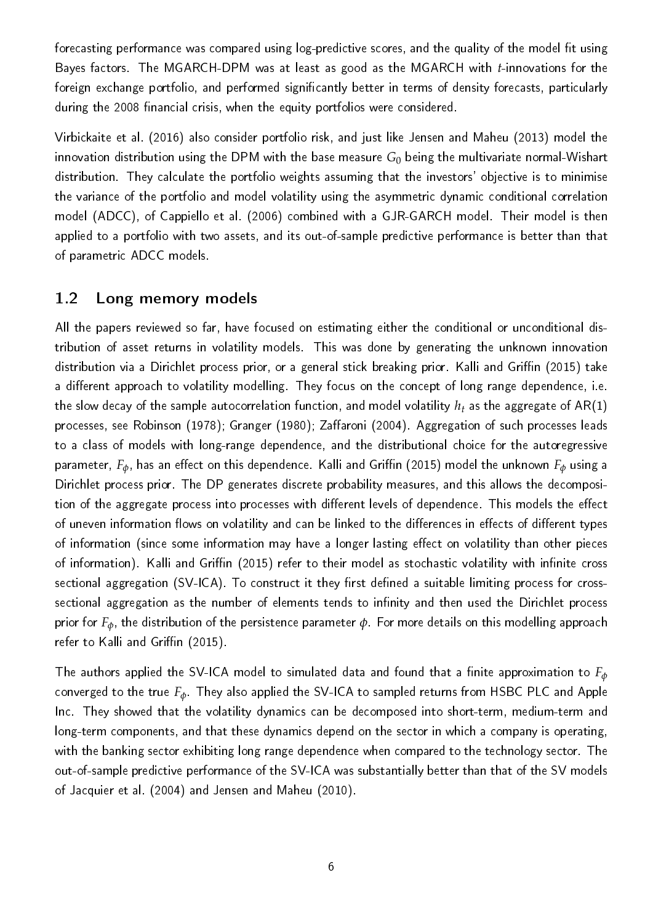forecasting performance was compared using log-predictive scores, and the quality of the model fit using Bayes factors. The MGARCH-DPM was at least as good as the MGARCH with *t*-innovations for the foreign exchange portfolio, and performed significantly better in terms of density forecasts, particularly during the 2008 financial crisis, when the equity portfolios were considered.

Virbickaite et al. (2016) also consider portfolio risk, and just like Jensen and Maheu (2013) model the innovation distribution using the DPM with the base measure *G*<sup>0</sup> being the multivariate normal-Wishart distribution. They calculate the portfolio weights assuming that the investors' objective is to minimise the variance of the portfolio and model volatility using the asymmetric dynamic conditional correlation model (ADCC), of Cappiello et al. (2006) combined with a GJR-GARCH model. Their model is then applied to a portfolio with two assets, and its out-of-sample predictive performance is better than that of parametric ADCC models.

#### 1.2 Long memory models

All the papers reviewed so far, have focused on estimating either the conditional or unconditional distribution of asset returns in volatility models. This was done by generating the unknown innovation distribution via a Dirichlet process prior, or a general stick breaking prior. Kalli and Griffin (2015) take a different approach to volatility modelling. They focus on the concept of long range dependence, i.e. the slow decay of the sample autocorrelation function, and model volatility *h<sup>t</sup>* as the aggregate of AR(1) processes, see Robinson (1978); Granger (1980); Zaffaroni (2004). Aggregation of such processes leads to a class of models with long-range dependence, and the distributional choice for the autoregressive parameter,  $F_{\phi}$ , has an effect on this dependence. Kalli and Griffin (2015) model the unknown  $F_{\phi}$  using a Dirichlet process prior. The DP generates discrete probability measures, and this allows the decomposition of the aggregate process into processes with different levels of dependence. This models the effect of uneven information flows on volatility and can be linked to the differences in effects of different types of information (since some information may have a longer lasting effect on volatility than other pieces of information). Kalli and Griffin (2015) refer to their model as stochastic volatility with infinite cross sectional aggregation (SV-ICA). To construct it they first defined a suitable limiting process for crosssectional aggregation as the number of elements tends to infinity and then used the Dirichlet process prior for *Fφ*, the distribution of the persistence parameter *φ*. For more details on this modelling approach refer to Kalli and Griffin (2015).

The authors applied the SV-ICA model to simulated data and found that a finite approximation to  $F_{\phi}$ converged to the true *Fφ*. They also applied the SV-ICA to sampled returns from HSBC PLC and Apple Inc. They showed that the volatility dynamics can be decomposed into short-term, medium-term and long-term components, and that these dynamics depend on the sector in which a company is operating, with the banking sector exhibiting long range dependence when compared to the technology sector. The out-of-sample predictive performance of the SV-ICA was substantially better than that of the SV models of Jacquier et al. (2004) and Jensen and Maheu (2010).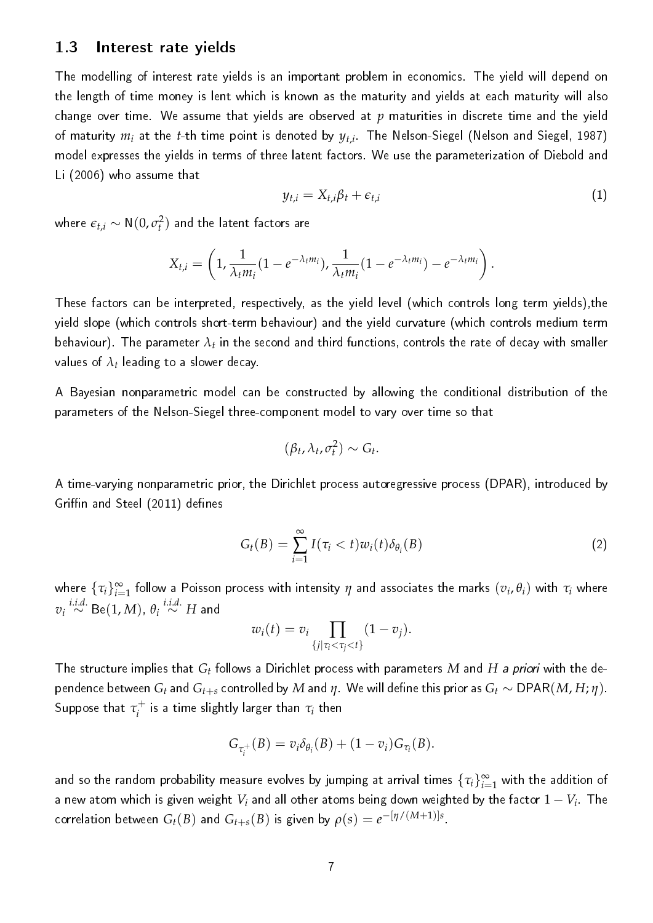#### 1.3 Interest rate yields

The modelling of interest rate yields is an important problem in economics. The yield will depend on the length of time money is lent which is known as the maturity and yields at each maturity will also change over time. We assume that yields are observed at *p* maturities in discrete time and the yield of maturity  $m_i$  at the *t*-th time point is denoted by  $y_{t,i}$  . The Nelson-Siegel (Nelson and Siegel, 1987) model expresses the yields in terms of three latent factors. We use the parameterization of Diebold and Li (2006) who assume that

$$
y_{t,i} = X_{t,i} \beta_t + \epsilon_{t,i} \tag{1}
$$

where  $\mathbf{\epsilon}_{t,i} \sim \mathsf{N}(0,\sigma_t^2)$  and the latent factors are

$$
X_{t,i}=\left(1,\frac{1}{\lambda_t m_i}(1-e^{-\lambda_t m_i}),\frac{1}{\lambda_t m_i}(1-e^{-\lambda_t m_i})-e^{-\lambda_t m_i}\right).
$$

These factors can be interpreted, respectively, as the yield level (which controls long term yields),the yield slope (which controls short-term behaviour) and the yield curvature (which controls medium term behaviour). The parameter  $\lambda_t$  in the second and third functions, controls the rate of decay with smaller values of  $\lambda_t$  leading to a slower decay.

A Bayesian nonparametric model can be constructed by allowing the conditional distribution of the parameters of the Nelson-Siegel three-component model to vary over time so that

$$
(\beta_t, \lambda_t, \sigma_t^2) \sim G_t.
$$

A time-varying nonparametric prior, the Dirichlet process autoregressive process (DPAR), introduced by Griffin and Steel (2011) defines

$$
G_t(B) = \sum_{i=1}^{\infty} I(\tau_i < t) w_i(t) \delta_{\theta_i}(B) \tag{2}
$$

where  $\{\tau_i\}_{i=1}^\infty$  follow a Poisson process with intensity  $\eta$  and associates the marks  $(v_i,\theta_i)$  with  $\tau_i$  where  $v_i \stackrel{i.i.d.}{\sim} \mathsf{Be}(1, M)$ ,  $\theta_i \stackrel{i.i.d.}{\sim} H$  and

$$
w_i(t) = v_i \prod_{\{j|\tau_i < \tau_j < t\}} (1 - v_j).
$$

The structure implies that  $G_t$  follows a Dirichlet process with parameters  $M$  and  $H$  *a priori* with the dependence between  $G_t$  and  $G_{t+s}$  controlled by  $M$  and  $\eta$ . We will define this prior as  $G_t \sim \text{DPAR}(M, H; \eta)$ .  $\mathsf{Suppose}$  that  $\tau^+_i$  $\tau^+_i$  is a time slightly larger than  $\tau_i$  then

$$
G_{\tau_i^+}(B)=v_i\delta_{\theta_i}(B)+(1-v_i)G_{\tau_i}(B).
$$

and so the random probability measure evolves by jumping at arrival times  $\{\tau_i\}_{i=1}^\infty$  with the addition of a new atom which is given weight  $V_i$  and all other atoms being down weighted by the factor  $1-V_i$  . The  $\text{correlation between } G_t(B) \text{ and } G_{t+s}(B) \text{ is given by } \rho(s) = e^{-\left[\eta/(M+1)\right]s}.$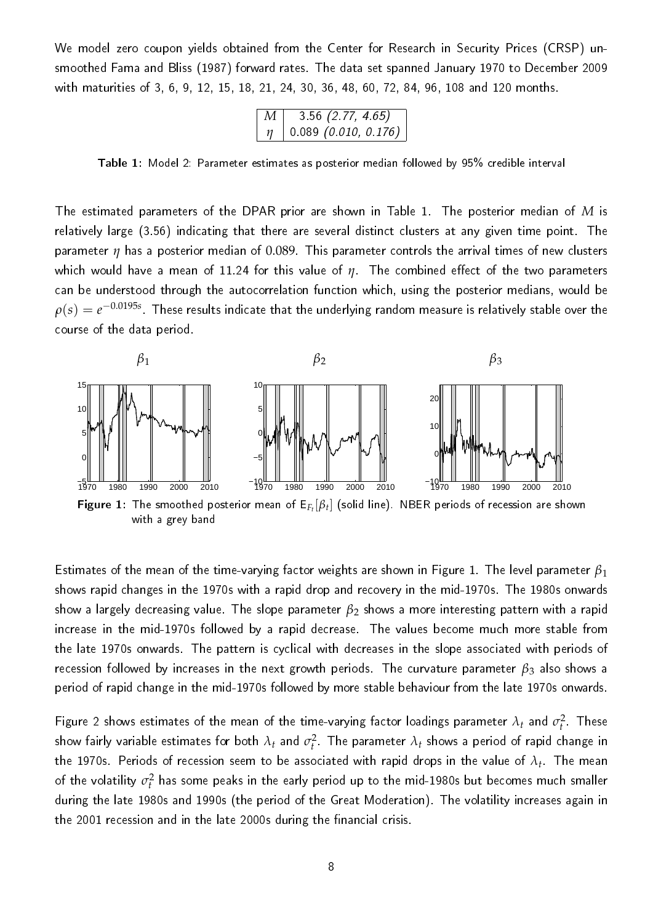We model zero coupon yields obtained from the Center for Research in Security Prices (CRSP) unsmoothed Fama and Bliss (1987) forward rates. The data set spanned January 1970 to December 2009 with maturities of 3, 6, 9, 12, 15, 18, 21, 24, 30, 36, 48, 60, 72, 84, 96, 108 and 120 months.

| М | $3\,56\,(2.77, 4.65)$  |
|---|------------------------|
|   | $0.089$ (0.010, 0.176) |

Table 1: Model 2: Parameter estimates as posterior median followed by 95% credible interval

The estimated parameters of the DPAR prior are shown in Table 1. The posterior median of *M* is relatively large (3.56) indicating that there are several distinct clusters at any given time point. The parameter *η* has a posterior median of 0.089. This parameter controls the arrival times of new clusters which would have a mean of 11.24 for this value of *η*. The combined effect of the two parameters can be understood through the autocorrelation function which, using the posterior medians, would be  $\rho(s) = e^{-0.0195s}$  . These results indicate that the underlying random measure is relatively stable over the course of the data period.



Estimates of the mean of the time-varying factor weights are shown in Figure 1. The level parameter *β*<sup>1</sup> shows rapid changes in the 1970s with a rapid drop and recovery in the mid-1970s. The 1980s onwards show a largely decreasing value. The slope parameter *β*<sup>2</sup> shows a more interesting pattern with a rapid increase in the mid-1970s followed by a rapid decrease. The values become much more stable from the late 1970s onwards. The pattern is cyclical with decreases in the slope associated with periods of recession followed by increases in the next growth periods. The curvature parameter *β*<sup>3</sup> also shows a period of rapid change in the mid-1970s followed by more stable behaviour from the late 1970s onwards.

Figure 2 shows estimates of the mean of the time-varying factor loadings parameter  $\lambda_t$  and  $\sigma_t^2$  . These show fairly variable estimates for both  $\lambda_t$  and  $\sigma_t^2$ . The parameter  $\lambda_t$  shows a period of rapid change in the 1970s. Periods of recession seem to be associated with rapid drops in the value of  $\lambda_t$  . The mean of the volatility  $\sigma_t^2$  has some peaks in the early period up to the mid-1980s but becomes much smaller during the late 1980s and 1990s (the period of the Great Moderation). The volatility increases again in the 2001 recession and in the late 2000s during the financial crisis.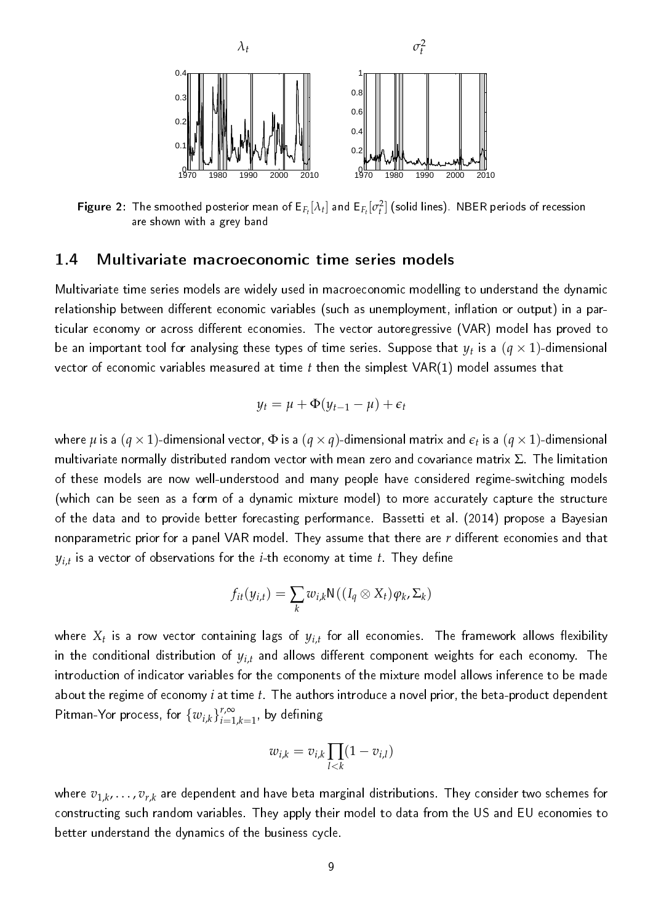

**Figure 2**: The smoothed posterior mean of  $E_{F_t}[\lambda_t]$  and  $E_{F_t}[\sigma_t^2]$  (solid lines). NBER periods of recession are shown with a grey band

#### 1.4 Multivariate macroeconomic time series models

Multivariate time series models are widely used in macroeconomic modelling to understand the dynamic relationship between different economic variables (such as unemployment, inflation or output) in a particular economy or across different economies. The vector autoregressive (VAR) model has proved to be an important tool for analysing these types of time series. Suppose that  $y_t$  is a  $(q\times1)$ -dimensional vector of economic variables measured at time *t* then the simplest VAR(1) model assumes that

$$
y_t = \mu + \Phi(y_{t-1} - \mu) + \epsilon_t
$$

where  $\mu$  is a  $(q\times1)$ -dimensional vector,  $\Phi$  is a  $(q\times q)$ -dimensional matrix and  $\epsilon_t$  is a  $(q\times1)$ -dimensional multivariate normally distributed random vector with mean zero and covariance matrix  $\Sigma$ . The limitation of these models are now well-understood and many people have considered regime-switching models (which can be seen as a form of a dynamic mixture model) to more accurately capture the structure of the data and to provide better forecasting performance. Bassetti et al. (2014) propose a Bayesian nonparametric prior for a panel VAR model. They assume that there are *r* different economies and that  $y_{i,t}$  is a vector of observations for the  $i$ -th economy at time  $t$  . They define

$$
f_{it}(y_{i,t}) = \sum_{k} w_{i,k} \mathsf{N}((I_q \otimes X_t) \varphi_k, \Sigma_k)
$$

where  $X_t$  is a row vector containing lags of  $y_{i,t}$  for all economies. The framework allows flexibility in the conditional distribution of  $y_{i,t}$  and allows different component weights for each economy. The introduction of indicator variables for the components of the mixture model allows inference to be made about the regime of economy *i* at time *t*. The authors introduce a novel prior, the beta-product dependent Pitman-Yor process, for  $\{w_{i,k}\}_{i=1}^{r,\infty}$  $\sum_{i=1,k=1}^{r,\infty}$ , by defining

$$
w_{i,k} = v_{i,k} \prod_{l < k} (1 - v_{i,l})
$$

where *v*1,*<sup>k</sup>* , . . . , *vr*,*<sup>k</sup>* are dependent and have beta marginal distributions. They consider two schemes for constructing such random variables. They apply their model to data from the US and EU economies to better understand the dynamics of the business cycle.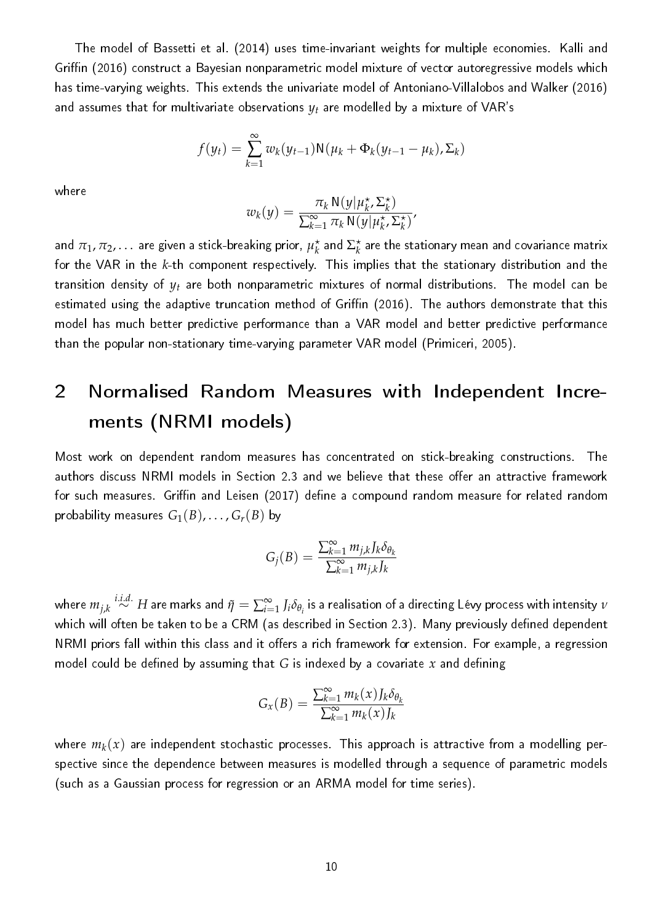The model of Bassetti et al. (2014) uses time-invariant weights for multiple economies. Kalli and Griffin (2016) construct a Bayesian nonparametric model mixture of vector autoregressive models which has time-varying weights. This extends the univariate model of Antoniano-Villalobos and Walker (2016) and assumes that for multivariate observations  $y_t$  are modelled by a mixture of VAR's

$$
f(y_t) = \sum_{k=1}^{\infty} w_k(y_{t-1}) \mathsf{N}(\mu_k + \Phi_k(y_{t-1} - \mu_k), \Sigma_k)
$$

where

$$
w_k(y) = \frac{\pi_k \, \mathrm{N}(y | \mu_k^{\star}, \Sigma_k^{\star})}{\sum_{k=1}^{\infty} \pi_k \, \mathrm{N}(y | \mu_k^{\star}, \Sigma_k^{\star})},
$$

and  $\pi_1,\pi_2,\ldots$  are given a stick-breaking prior,  $\mu_k^\star$  $\frac{\star}{k}$  and  $\Sigma_k^{\star}$  $\stackrel{\star}{k}$  are the stationary mean and covariance matrix for the VAR in the *k*-th component respectively. This implies that the stationary distribution and the transition density of *y<sup>t</sup>* are both nonparametric mixtures of normal distributions. The model can be estimated using the adaptive truncation method of Griffin (2016). The authors demonstrate that this model has much better predictive performance than a VAR model and better predictive performance than the popular non-stationary time-varying parameter VAR model (Primiceri, 2005).

## 2 Normalised Random Measures with Independent Increments (NRMI models)

Most work on dependent random measures has concentrated on stick-breaking constructions. The authors discuss NRMI models in Section 2.3 and we believe that these offer an attractive framework for such measures. Griffin and Leisen (2017) define a compound random measure for related random probability measures  $G_1(B), \ldots, G_r(B)$  by

$$
G_j(B) = \frac{\sum_{k=1}^{\infty} m_{j,k} J_k \delta_{\theta_k}}{\sum_{k=1}^{\infty} m_{j,k} J_k}
$$

where  $m_{j,k}\stackrel{i.i.d.}{\sim}H$  are marks and  $\tilde\eta=\sum_{i=1}^\infty J_i\delta_{\theta_i}$  is a realisation of a directing Lévy process with intensity  $\nu$ which will often be taken to be a CRM (as described in Section 2.3). Many previously defined dependent NRMI priors fall within this class and it offers a rich framework for extension. For example, a regression model could be defined by assuming that  $G$  is indexed by a covariate  $x$  and defining

$$
G_x(B) = \frac{\sum_{k=1}^{\infty} m_k(x) J_k \delta_{\theta_k}}{\sum_{k=1}^{\infty} m_k(x) J_k}
$$

where  $m_k(x)$  are independent stochastic processes. This approach is attractive from a modelling perspective since the dependence between measures is modelled through a sequence of parametric models (such as a Gaussian process for regression or an ARMA model for time series).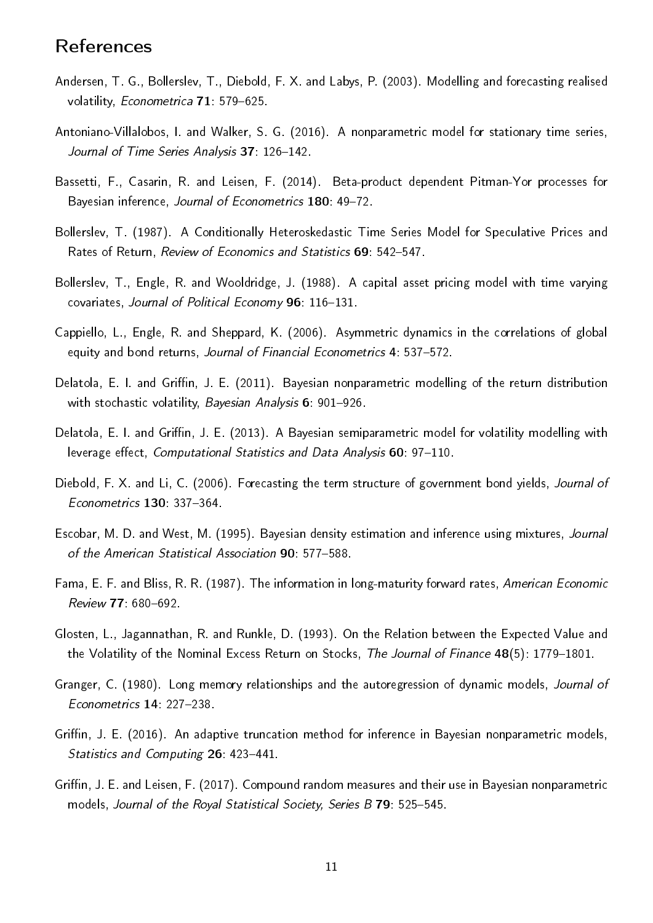### References

- Andersen, T. G., Bollerslev, T., Diebold, F. X. and Labys, P. (2003). Modelling and forecasting realised volatility, Econometrica 71: 579-625.
- Antoniano-Villalobos, I. and Walker, S. G. (2016). A nonparametric model for stationary time series, Journal of Time Series Analysis 37: 126-142.
- Bassetti, F., Casarin, R. and Leisen, F. (2014). Beta-product dependent Pitman-Yor processes for Bayesian inference, Journal of Econometrics 180: 49-72.
- Bollerslev, T. (1987). A Conditionally Heteroskedastic Time Series Model for Speculative Prices and Rates of Return, Review of Economics and Statistics 69: 542-547.
- Bollerslev, T., Engle, R. and Wooldridge, J. (1988). A capital asset pricing model with time varying covariates, Journal of Political Economy 96: 116-131.
- Cappiello, L., Engle, R. and Sheppard, K. (2006). Asymmetric dynamics in the correlations of global equity and bond returns, Journal of Financial Econometrics 4: 537-572.
- Delatola, E. I. and Griffin, J. E. (2011). Bayesian nonparametric modelling of the return distribution with stochastic volatility, Bayesian Analysis 6: 901-926.
- Delatola, E. I. and Griffin, J. E. (2013). A Bayesian semiparametric model for volatility modelling with leverage effect, Computational Statistics and Data Analysis 60: 97-110.
- Diebold, F. X. and Li, C. (2006). Forecasting the term structure of government bond yields, Journal of Econometrics 130: 337-364.
- Escobar, M. D. and West, M. (1995). Bayesian density estimation and inference using mixtures, Journal of the American Statistical Association 90: 577-588.
- Fama, E. F. and Bliss, R. R. (1987). The information in long-maturity forward rates, American Economic Review 77: 680-692.
- Glosten, L., Jagannathan, R. and Runkle, D. (1993). On the Relation between the Expected Value and the Volatility of the Nominal Excess Return on Stocks, The Journal of Finance  $48(5)$ : 1779–1801.
- Granger, C. (1980). Long memory relationships and the autoregression of dynamic models, Journal of Econometrics 14: 227-238.
- Griffin, J. E. (2016). An adaptive truncation method for inference in Bayesian nonparametric models, Statistics and Computing 26: 423-441.
- Griffin, J. E. and Leisen, F. (2017). Compound random measures and their use in Bayesian nonparametric models, Journal of the Royal Statistical Society, Series B 79: 525-545.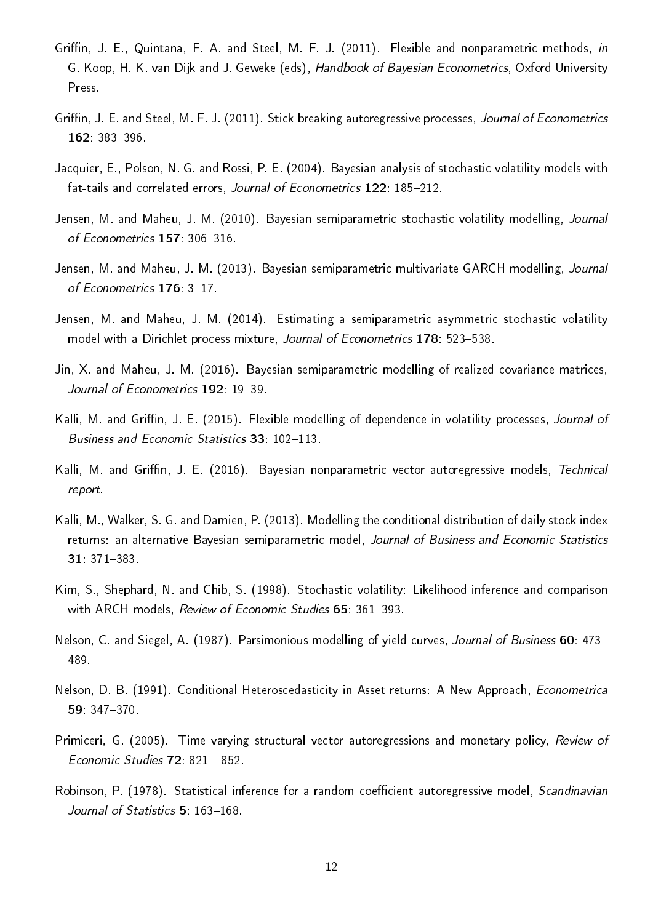- Griffin, J. E., Quintana, F. A. and Steel, M. F. J. (2011). Flexible and nonparametric methods, in G. Koop, H. K. van Dijk and J. Geweke (eds), Handbook of Bayesian Econometrics, Oxford University Press.
- Griffin, J. E. and Steel, M. F. J. (2011). Stick breaking autoregressive processes, Journal of Econometrics 162 383-396
- Jacquier, E., Polson, N. G. and Rossi, P. E. (2004). Bayesian analysis of stochastic volatility models with fat-tails and correlated errors, Journal of Econometrics 122: 185-212.
- Jensen, M. and Maheu, J. M. (2010). Bayesian semiparametric stochastic volatility modelling, Journal of Econometrics 157: 306-316.
- Jensen, M. and Maheu, J. M. (2013). Bayesian semiparametric multivariate GARCH modelling, Journal of Econometrics 176: 3-17.
- Jensen, M. and Maheu, J. M. (2014). Estimating a semiparametric asymmetric stochastic volatility model with a Dirichlet process mixture, Journal of Econometrics 178: 523-538.
- Jin, X. and Maheu, J. M. (2016). Bayesian semiparametric modelling of realized covariance matrices, Journal of Econometrics 192: 19-39.
- Kalli, M. and Griffin, J. E. (2015). Flexible modelling of dependence in volatility processes, Journal of Business and Economic Statistics 33: 102-113.
- Kalli, M. and Griffin, J. E. (2016). Bayesian nonparametric vector autoregressive models, Technical report.
- Kalli, M., Walker, S. G. and Damien, P. (2013). Modelling the conditional distribution of daily stock index returns: an alternative Bayesian semiparametric model, Journal of Business and Economic Statistics 31: 371-383.
- Kim, S., Shephard, N. and Chib, S. (1998). Stochastic volatility: Likelihood inference and comparison with ARCH models, Review of Economic Studies 65: 361-393.
- Nelson, C. and Siegel, A. (1987). Parsimonious modelling of yield curves, Journal of Business 60: 473-489.
- Nelson, D. B. (1991). Conditional Heteroscedasticity in Asset returns: A New Approach, Econometrica 59: 347370.
- Primiceri, G. (2005). Time varying structural vector autoregressions and monetary policy, Review of Economic Studies 72: 821-852.
- Robinson, P. (1978). Statistical inference for a random coefficient autoregressive model, Scandinavian Journal of Statistics 5: 163-168.